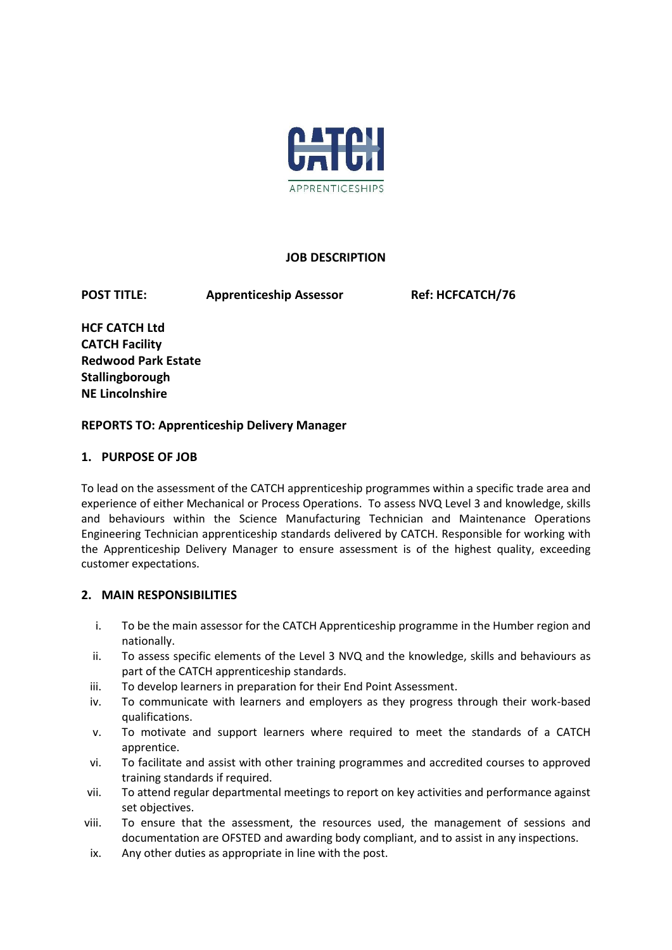

### **JOB DESCRIPTION**

**POST TITLE:** Apprenticeship Assessor Ref: HCFCATCH/76

**HCF CATCH Ltd CATCH Facility Redwood Park Estate Stallingborough NE Lincolnshire** 

### **REPORTS TO: Apprenticeship Delivery Manager**

### **1. PURPOSE OF JOB**

To lead on the assessment of the CATCH apprenticeship programmes within a specific trade area and experience of either Mechanical or Process Operations. To assess NVQ Level 3 and knowledge, skills and behaviours within the Science Manufacturing Technician and Maintenance Operations Engineering Technician apprenticeship standards delivered by CATCH. Responsible for working with the Apprenticeship Delivery Manager to ensure assessment is of the highest quality, exceeding customer expectations.

## **2. MAIN RESPONSIBILITIES**

- i. To be the main assessor for the CATCH Apprenticeship programme in the Humber region and nationally.
- ii. To assess specific elements of the Level 3 NVQ and the knowledge, skills and behaviours as part of the CATCH apprenticeship standards.
- iii. To develop learners in preparation for their End Point Assessment.
- iv. To communicate with learners and employers as they progress through their work-based qualifications.
- v. To motivate and support learners where required to meet the standards of a CATCH apprentice.
- vi. To facilitate and assist with other training programmes and accredited courses to approved training standards if required.
- vii. To attend regular departmental meetings to report on key activities and performance against set objectives.
- viii. To ensure that the assessment, the resources used, the management of sessions and documentation are OFSTED and awarding body compliant, and to assist in any inspections.
- ix. Any other duties as appropriate in line with the post.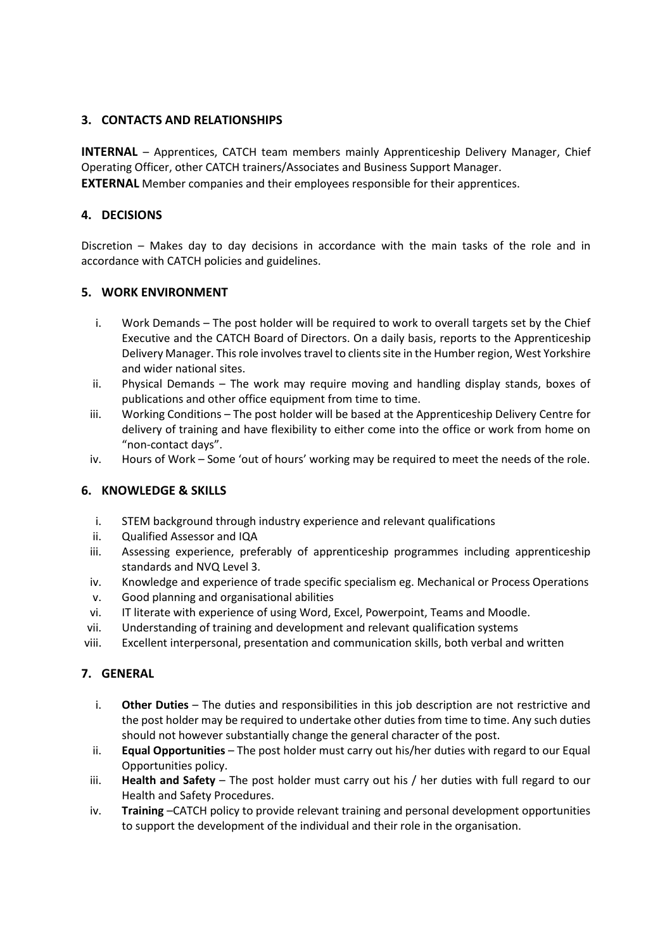# **3. CONTACTS AND RELATIONSHIPS**

**INTERNAL** – Apprentices, CATCH team members mainly Apprenticeship Delivery Manager, Chief Operating Officer, other CATCH trainers/Associates and Business Support Manager. **EXTERNAL** Member companies and their employees responsible for their apprentices.

## **4. DECISIONS**

Discretion – Makes day to day decisions in accordance with the main tasks of the role and in accordance with CATCH policies and guidelines.

## **5. WORK ENVIRONMENT**

- i. Work Demands The post holder will be required to work to overall targets set by the Chief Executive and the CATCH Board of Directors. On a daily basis, reports to the Apprenticeship Delivery Manager. This role involves travel to clients site in the Humber region, West Yorkshire and wider national sites.
- ii. Physical Demands The work may require moving and handling display stands, boxes of publications and other office equipment from time to time.
- iii. Working Conditions The post holder will be based at the Apprenticeship Delivery Centre for delivery of training and have flexibility to either come into the office or work from home on "non-contact days".
- iv. Hours of Work Some 'out of hours' working may be required to meet the needs of the role.

## **6. KNOWLEDGE & SKILLS**

- i. STEM background through industry experience and relevant qualifications
- ii. Qualified Assessor and IQA
- iii. Assessing experience, preferably of apprenticeship programmes including apprenticeship standards and NVQ Level 3.
- iv. Knowledge and experience of trade specific specialism eg. Mechanical or Process Operations
- v. Good planning and organisational abilities
- vi. IT literate with experience of using Word, Excel, Powerpoint, Teams and Moodle.
- vii. Understanding of training and development and relevant qualification systems
- viii. Excellent interpersonal, presentation and communication skills, both verbal and written

## **7. GENERAL**

- i. **Other Duties** The duties and responsibilities in this job description are not restrictive and the post holder may be required to undertake other duties from time to time. Any such duties should not however substantially change the general character of the post.
- ii. **Equal Opportunities** The post holder must carry out his/her duties with regard to our Equal Opportunities policy.
- iii. **Health and Safety** The post holder must carry out his / her duties with full regard to our Health and Safety Procedures.
- iv. **Training** –CATCH policy to provide relevant training and personal development opportunities to support the development of the individual and their role in the organisation.